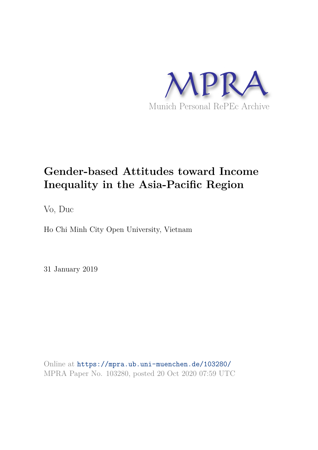

## **Gender-based Attitudes toward Income Inequality in the Asia-Pacific Region**

Vo, Duc

Ho Chi Minh City Open University, Vietnam

31 January 2019

Online at https://mpra.ub.uni-muenchen.de/103280/ MPRA Paper No. 103280, posted 20 Oct 2020 07:59 UTC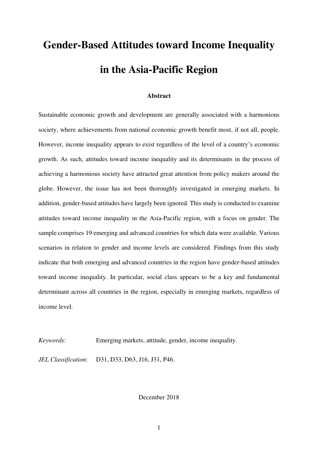# **Gender-Based Attitudes toward Income Inequality in the Asia-Pacific Region**

#### **Abstract**

Sustainable economic growth and development are generally associated with a harmonious society, where achievements from national economic growth benefit most, if not all, people. However, income inequality appears to exist regardless of the level of a country's economic growth. As such, attitudes toward income inequality and its determinants in the process of achieving a harmonious society have attracted great attention from policy makers around the globe. However, the issue has not been thoroughly investigated in emerging markets. In addition, gender-based attitudes have largely been ignored. This study is conducted to examine attitudes toward income inequality in the Asia-Pacific region, with a focus on gender. The sample comprises 19 emerging and advanced countries for which data were available. Various scenarios in relation to gender and income levels are considered. Findings from this study indicate that both emerging and advanced countries in the region have gender-based attitudes toward income inequality. In particular, social class appears to be a key and fundamental determinant across all countries in the region, especially in emerging markets, regardless of income level.

*Keywords*: Emerging markets, attitude, gender, income inequality.

*JEL Classification*: D31, D33, D63, J16, J31, P46.

December 2018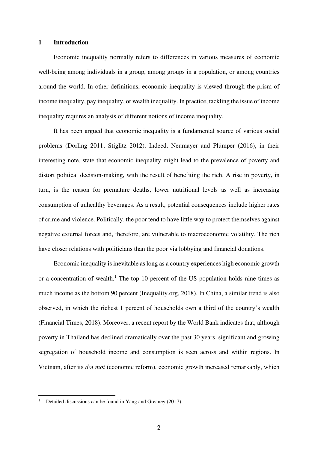#### **1 Introduction**

Economic inequality normally refers to differences in various measures of economic well-being among individuals in a group, among groups in a population, or among countries around the world. In other definitions, economic inequality is viewed through the prism of income inequality, pay inequality, or wealth inequality. In practice, tackling the issue of income inequality requires an analysis of different notions of income inequality.

It has been argued that economic inequality is a fundamental source of various social problems (Dorling 2011; Stiglitz 2012). Indeed, Neumayer and Plümper (2016), in their interesting note, state that economic inequality might lead to the prevalence of poverty and distort political decision-making, with the result of benefiting the rich. A rise in poverty, in turn, is the reason for premature deaths, lower nutritional levels as well as increasing consumption of unhealthy beverages. As a result, potential consequences include higher rates of crime and violence. Politically, the poor tend to have little way to protect themselves against negative external forces and, therefore, are vulnerable to macroeconomic volatility. The rich have closer relations with politicians than the poor via lobbying and financial donations.

Economic inequality is inevitable as long as a country experiences high economic growth or a concentration of wealth.<sup>1</sup> The top 10 percent of the US population holds nine times as much income as the bottom 90 percent (Inequality.org, 2018). In China, a similar trend is also observed, in which the richest 1 percent of households own a third of the country's wealth (Financial Times, 2018). Moreover, a recent report by the World Bank indicates that, although poverty in Thailand has declined dramatically over the past 30 years, significant and growing segregation of household income and consumption is seen across and within regions. In Vietnam, after its *doi moi* (economic reform), economic growth increased remarkably, which

<sup>1</sup> Detailed discussions can be found in Yang and Greaney (2017).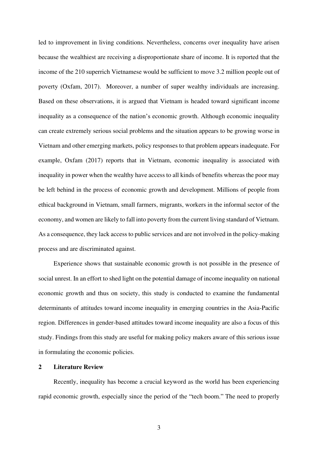led to improvement in living conditions. Nevertheless, concerns over inequality have arisen because the wealthiest are receiving a disproportionate share of income. It is reported that the income of the 210 superrich Vietnamese would be sufficient to move 3.2 million people out of poverty (Oxfam, 2017). Moreover, a number of super wealthy individuals are increasing. Based on these observations, it is argued that Vietnam is headed toward significant income inequality as a consequence of the nation's economic growth. Although economic inequality can create extremely serious social problems and the situation appears to be growing worse in Vietnam and other emerging markets, policy responses to that problem appears inadequate. For example, Oxfam (2017) reports that in Vietnam, economic inequality is associated with inequality in power when the wealthy have access to all kinds of benefits whereas the poor may be left behind in the process of economic growth and development. Millions of people from ethical background in Vietnam, small farmers, migrants, workers in the informal sector of the economy, and women are likely to fall into poverty from the current living standard of Vietnam. As a consequence, they lack access to public services and are not involved in the policy-making process and are discriminated against.

Experience shows that sustainable economic growth is not possible in the presence of social unrest. In an effort to shed light on the potential damage of income inequality on national economic growth and thus on society, this study is conducted to examine the fundamental determinants of attitudes toward income inequality in emerging countries in the Asia-Pacific region. Differences in gender-based attitudes toward income inequality are also a focus of this study. Findings from this study are useful for making policy makers aware of this serious issue in formulating the economic policies.

#### **2 Literature Review**

Recently, inequality has become a crucial keyword as the world has been experiencing rapid economic growth, especially since the period of the "tech boom." The need to properly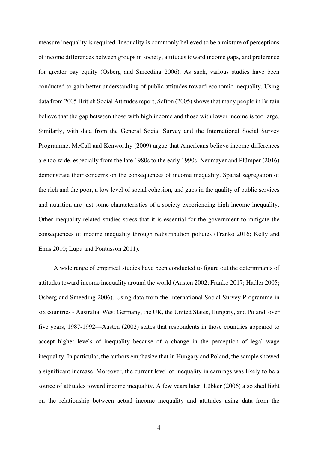measure inequality is required. Inequality is commonly believed to be a mixture of perceptions of income differences between groups in society, attitudes toward income gaps, and preference for greater pay equity (Osberg and Smeeding 2006). As such, various studies have been conducted to gain better understanding of public attitudes toward economic inequality. Using data from 2005 British Social Attitudes report, Sefton (2005) shows that many people in Britain believe that the gap between those with high income and those with lower income is too large. Similarly, with data from the General Social Survey and the International Social Survey Programme, McCall and Kenworthy (2009) argue that Americans believe income differences are too wide, especially from the late 1980s to the early 1990s. Neumayer and Plümper (2016) demonstrate their concerns on the consequences of income inequality. Spatial segregation of the rich and the poor, a low level of social cohesion, and gaps in the quality of public services and nutrition are just some characteristics of a society experiencing high income inequality. Other inequality-related studies stress that it is essential for the government to mitigate the consequences of income inequality through redistribution policies (Franko 2016; Kelly and Enns 2010; Lupu and Pontusson 2011).

A wide range of empirical studies have been conducted to figure out the determinants of attitudes toward income inequality around the world (Austen 2002; Franko 2017; Hadler 2005; Osberg and Smeeding 2006). Using data from the International Social Survey Programme in six countries - Australia, West Germany, the UK, the United States, Hungary, and Poland, over five years, 1987-1992—Austen (2002) states that respondents in those countries appeared to accept higher levels of inequality because of a change in the perception of legal wage inequality. In particular, the authors emphasize that in Hungary and Poland, the sample showed a significant increase. Moreover, the current level of inequality in earnings was likely to be a source of attitudes toward income inequality. A few years later, Lübker (2006) also shed light on the relationship between actual income inequality and attitudes using data from the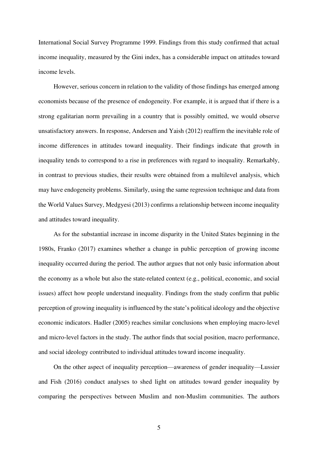International Social Survey Programme 1999. Findings from this study confirmed that actual income inequality, measured by the Gini index, has a considerable impact on attitudes toward income levels.

However, serious concern in relation to the validity of those findings has emerged among economists because of the presence of endogeneity. For example, it is argued that if there is a strong egalitarian norm prevailing in a country that is possibly omitted, we would observe unsatisfactory answers. In response, Andersen and Yaish (2012) reaffirm the inevitable role of income differences in attitudes toward inequality. Their findings indicate that growth in inequality tends to correspond to a rise in preferences with regard to inequality. Remarkably, in contrast to previous studies, their results were obtained from a multilevel analysis, which may have endogeneity problems. Similarly, using the same regression technique and data from the World Values Survey, Medgyesi (2013) confirms a relationship between income inequality and attitudes toward inequality.

As for the substantial increase in income disparity in the United States beginning in the 1980s, Franko (2017) examines whether a change in public perception of growing income inequality occurred during the period. The author argues that not only basic information about the economy as a whole but also the state-related context (e.g., political, economic, and social issues) affect how people understand inequality. Findings from the study confirm that public perception of growing inequality is influenced by the state's political ideology and the objective economic indicators. Hadler (2005) reaches similar conclusions when employing macro-level and micro-level factors in the study. The author finds that social position, macro performance, and social ideology contributed to individual attitudes toward income inequality.

On the other aspect of inequality perception—awareness of gender inequality—Lussier and Fish (2016) conduct analyses to shed light on attitudes toward gender inequality by comparing the perspectives between Muslim and non-Muslim communities. The authors

5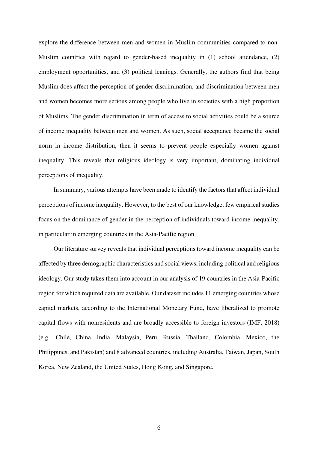explore the difference between men and women in Muslim communities compared to non-Muslim countries with regard to gender-based inequality in (1) school attendance, (2) employment opportunities, and (3) political leanings. Generally, the authors find that being Muslim does affect the perception of gender discrimination, and discrimination between men and women becomes more serious among people who live in societies with a high proportion of Muslims. The gender discrimination in term of access to social activities could be a source of income inequality between men and women. As such, social acceptance became the social norm in income distribution, then it seems to prevent people especially women against inequality. This reveals that religious ideology is very important, dominating individual perceptions of inequality.

In summary, various attempts have been made to identify the factors that affect individual perceptions of income inequality. However, to the best of our knowledge, few empirical studies focus on the dominance of gender in the perception of individuals toward income inequality, in particular in emerging countries in the Asia-Pacific region.

Our literature survey reveals that individual perceptions toward income inequality can be affected by three demographic characteristics and social views, including political and religious ideology. Our study takes them into account in our analysis of 19 countries in the Asia-Pacific region for which required data are available. Our dataset includes 11 emerging countries whose capital markets, according to the International Monetary Fund, have liberalized to promote capital flows with nonresidents and are broadly accessible to foreign investors (IMF, 2018) (e.g., Chile, China, India, Malaysia, Peru, Russia, Thailand, Colombia, Mexico, the Philippines, and Pakistan) and 8 advanced countries, including Australia, Taiwan, Japan, South Korea, New Zealand, the United States, Hong Kong, and Singapore.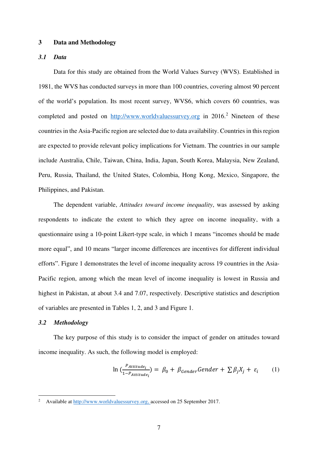#### **3 Data and Methodology**

#### *3.1 Data*

Data for this study are obtained from the World Values Survey (WVS). Established in 1981, the WVS has conducted surveys in more than 100 countries, covering almost 90 percent of the world's population. Its most recent survey, WVS6, which covers 60 countries, was completed and posted on [http://www.worldvaluessurvey.org](http://www.worldvaluessurvey.org/) in 2016.<sup>2</sup> Nineteen of these countries in the Asia-Pacific region are selected due to data availability. Countries in this region are expected to provide relevant policy implications for Vietnam. The countries in our sample include Australia, Chile, Taiwan, China, India, Japan, South Korea, Malaysia, New Zealand, Peru, Russia, Thailand, the United States, Colombia, Hong Kong, Mexico, Singapore, the Philippines, and Pakistan.

The dependent variable, *Attitudes toward income inequality*, was assessed by asking respondents to indicate the extent to which they agree on income inequality, with a questionnaire using a 10-point Likert-type scale, in which 1 means "incomes should be made more equal", and 10 means "larger income differences are incentives for different individual efforts". Figure 1 demonstrates the level of income inequality across 19 countries in the Asia-Pacific region, among which the mean level of income inequality is lowest in Russia and highest in Pakistan, at about 3.4 and 7.07, respectively. Descriptive statistics and description of variables are presented in Tables 1, 2, and 3 and Figure 1.

#### *3.2 Methodology*

The key purpose of this study is to consider the impact of gender on attitudes toward income inequality. As such, the following model is employed:

$$
\ln\left(\frac{P_{Attitude_i}}{1 - P_{Attitude_i}}\right) = \beta_0 + \beta_{Gender} \cdot \text{Gender} + \sum \beta_j X_j + \varepsilon_i \tag{1}
$$

<sup>2</sup> Available at [http://www.worldvaluessurvey.org,](http://www.worldvaluessurvey.org/) accessed on 25 September 2017.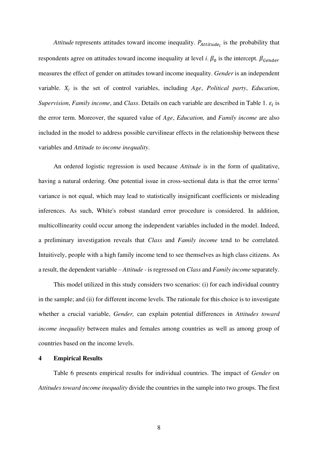*Attitude* represents attitudes toward income inequality.  $P_{Attitude_i}$  is the probability that respondents agree on attitudes toward income inequality at level *i*.  $\beta_0$  is the intercept.  $\beta_{\text{Gender}}$ measures the effect of gender on attitudes toward income inequality. *Gender* is an independent variable. *Xj* is the set of control variables, including *Age*, *Political party*, *Education*, *Supervision, Family income, and Class.* Details on each variable are described in Table 1.  $\varepsilon_i$  is the error term. Moreover, the squared value of *Age*, *Education,* and *Family income* are also included in the model to address possible curvilinear effects in the relationship between these variables and *Attitude to income inequality*.

An ordered logistic regression is used because *Attitude* is in the form of qualitative, having a natural ordering. One potential issue in cross-sectional data is that the error terms' variance is not equal, which may lead to statistically insignificant coefficients or misleading inferences. As such, White's robust standard error procedure is considered. In addition, multicollinearity could occur among the independent variables included in the model. Indeed, a preliminary investigation reveals that *Class* and *Family income* tend to be correlated. Intuitively, people with a high family income tend to see themselves as high class citizens. As a result, the dependent variable – *Attitude -* is regressed on *Class* and *Family income* separately.

This model utilized in this study considers two scenarios: (i) for each individual country in the sample; and (ii) for different income levels. The rationale for this choice is to investigate whether a crucial variable, *Gender,* can explain potential differences in *Attitudes toward income inequality* between males and females among countries as well as among group of countries based on the income levels.

#### **4 Empirical Results**

Table 6 presents empirical results for individual countries. The impact of *Gender* on *Attitudes toward income inequality* divide the countries in the sample into two groups. The first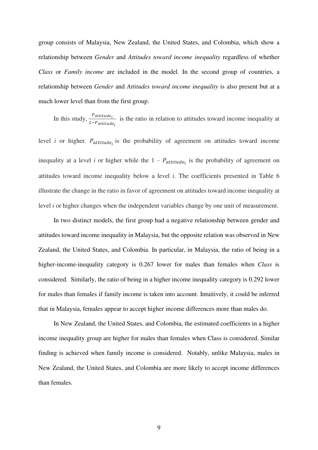group consists of Malaysia, New Zealand, the United States, and Colombia, which show a relationship between *Gender* and *Attitudes toward income inequality* regardless of whether *Class* or *Family income* are included in the model. In the second group of countries, a relationship between *Gender* and *Attitudes toward income inequality* is also present but at a much lower level than from the first group.

In this study,  $\frac{P_{attitude_i}}{1 - R}$ 1−P<sub>attitude<sub>i</sub></sub> is the ratio in relation to attitudes toward income inequality at

level *i* or higher.  $P_{attitude_i}$  is the probability of agreement on attitudes toward income inequality at a level *i* or higher while the  $1 - P_{attitude_i}$  is the probability of agreement on attitudes toward income inequality below a level *i*. The coefficients presented in Table 6 illustrate the change in the ratio in favor of agreement on attitudes toward income inequality at level *i* or higher changes when the independent variables change by one unit of measurement.

In two distinct models, the first group had a negative relationship between gender and attitudes toward income inequality in Malaysia, but the opposite relation was observed in New Zealand, the United States, and Colombia. In particular, in Malaysia, the ratio of being in a higher-income-inequality category is 0.267 lower for males than females when *Class* is considered. Similarly, the ratio of being in a higher income inequality category is 0.292 lower for males than females if family income is taken into account. Intuitively, it could be inferred that in Malaysia, females appear to accept higher income differences more than males do.

In New Zealand, the United States, and Colombia, the estimated coefficients in a higher income inequality group are higher for males than females when Class is considered. Similar finding is achieved when family income is considered. Notably, unlike Malaysia, males in New Zealand, the United States, and Colombia are more likely to accept income differences than females.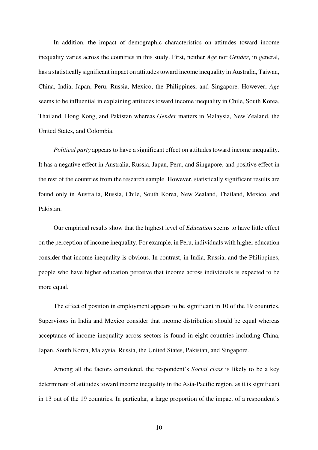In addition, the impact of demographic characteristics on attitudes toward income inequality varies across the countries in this study. First, neither *Age* nor *Gender*, in general, has a statistically significant impact on attitudes toward income inequality in Australia, Taiwan, China, India, Japan, Peru, Russia, Mexico, the Philippines, and Singapore. However, *Age* seems to be influential in explaining attitudes toward income inequality in Chile, South Korea, Thailand, Hong Kong, and Pakistan whereas *Gender* matters in Malaysia, New Zealand, the United States, and Colombia.

*Political party* appears to have a significant effect on attitudes toward income inequality. It has a negative effect in Australia, Russia, Japan, Peru, and Singapore, and positive effect in the rest of the countries from the research sample. However, statistically significant results are found only in Australia, Russia, Chile, South Korea, New Zealand, Thailand, Mexico, and Pakistan.

Our empirical results show that the highest level of *Education* seems to have little effect on the perception of income inequality. For example, in Peru, individuals with higher education consider that income inequality is obvious. In contrast, in India, Russia, and the Philippines, people who have higher education perceive that income across individuals is expected to be more equal.

The effect of position in employment appears to be significant in 10 of the 19 countries. Supervisors in India and Mexico consider that income distribution should be equal whereas acceptance of income inequality across sectors is found in eight countries including China, Japan, South Korea, Malaysia, Russia, the United States, Pakistan, and Singapore.

Among all the factors considered, the respondent's *Social class* is likely to be a key determinant of attitudes toward income inequality in the Asia-Pacific region, as it is significant in 13 out of the 19 countries. In particular, a large proportion of the impact of a respondent's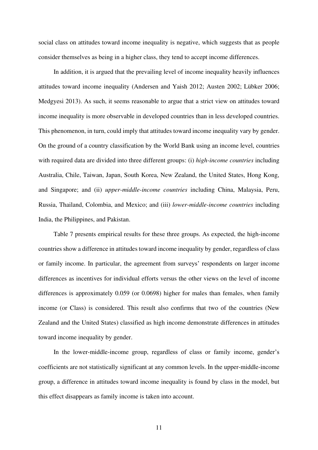social class on attitudes toward income inequality is negative, which suggests that as people consider themselves as being in a higher class, they tend to accept income differences.

In addition, it is argued that the prevailing level of income inequality heavily influences attitudes toward income inequality (Andersen and Yaish 2012; Austen 2002; Lübker 2006; Medgyesi 2013). As such, it seems reasonable to argue that a strict view on attitudes toward income inequality is more observable in developed countries than in less developed countries. This phenomenon, in turn, could imply that attitudes toward income inequality vary by gender. On the ground of a country classification by the World Bank using an income level, countries with required data are divided into three different groups: (i) *high-income countries* including Australia, Chile, Taiwan, Japan, South Korea, New Zealand, the United States, Hong Kong, and Singapore; and (ii) *upper-middle-income countries* including China, Malaysia, Peru, Russia, Thailand, Colombia, and Mexico; and (iii) *lower-middle-income countries* including India, the Philippines, and Pakistan.

Table 7 presents empirical results for these three groups. As expected, the high-income countries show a difference in attitudes toward income inequality by gender, regardless of class or family income. In particular, the agreement from surveys' respondents on larger income differences as incentives for individual efforts versus the other views on the level of income differences is approximately 0.059 (or 0.0698) higher for males than females, when family income (or Class) is considered. This result also confirms that two of the countries (New Zealand and the United States) classified as high income demonstrate differences in attitudes toward income inequality by gender.

In the lower-middle-income group, regardless of class or family income, gender's coefficients are not statistically significant at any common levels. In the upper-middle-income group, a difference in attitudes toward income inequality is found by class in the model, but this effect disappears as family income is taken into account.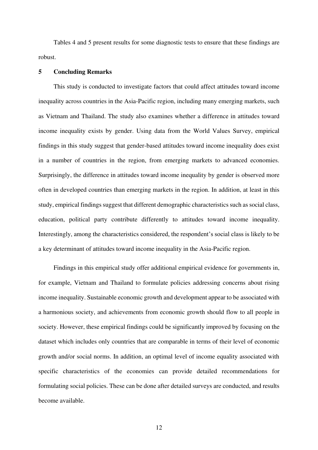Tables 4 and 5 present results for some diagnostic tests to ensure that these findings are robust.

#### **5 Concluding Remarks**

This study is conducted to investigate factors that could affect attitudes toward income inequality across countries in the Asia-Pacific region, including many emerging markets, such as Vietnam and Thailand. The study also examines whether a difference in attitudes toward income inequality exists by gender. Using data from the World Values Survey, empirical findings in this study suggest that gender-based attitudes toward income inequality does exist in a number of countries in the region, from emerging markets to advanced economies. Surprisingly, the difference in attitudes toward income inequality by gender is observed more often in developed countries than emerging markets in the region. In addition, at least in this study, empirical findings suggest that different demographic characteristics such as social class, education, political party contribute differently to attitudes toward income inequality. Interestingly, among the characteristics considered, the respondent's social class is likely to be a key determinant of attitudes toward income inequality in the Asia-Pacific region.

Findings in this empirical study offer additional empirical evidence for governments in, for example, Vietnam and Thailand to formulate policies addressing concerns about rising income inequality. Sustainable economic growth and development appear to be associated with a harmonious society, and achievements from economic growth should flow to all people in society. However, these empirical findings could be significantly improved by focusing on the dataset which includes only countries that are comparable in terms of their level of economic growth and/or social norms. In addition, an optimal level of income equality associated with specific characteristics of the economies can provide detailed recommendations for formulating social policies. These can be done after detailed surveys are conducted, and results become available.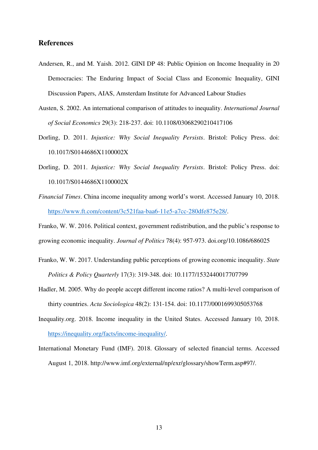#### **References**

- Andersen, R., and M. Yaish. 2012. GINI DP 48: Public Opinion on Income Inequality in 20 Democracies: The Enduring Impact of Social Class and Economic Inequality, GINI Discussion Papers, AIAS, Amsterdam Institute for Advanced Labour Studies
- Austen, S. 2002. An international comparison of attitudes to inequality. *International Journal of Social Economics* 29(3): 218-237. doi: 10.1108/03068290210417106
- Dorling, D. 2011. *Injustice: Why Social Inequality Persists*. Bristol: Policy Press. doi: 10.1017/S0144686X1100002X
- Dorling, D. 2011. *Injustice: Why Social Inequality Persists*. Bristol: Policy Press. doi: 10.1017/S0144686X1100002X
- *Financial Times*. China income inequality among world's worst. Accessed January 10, 2018. [https://www.ft.com/content/3c521faa-baa6-11e5-a7cc-280dfe875e28/](https://www.ft.com/content/3c521faa-baa6-11e5-a7cc-280dfe875e28).

Franko, W. W. 2016. Political context, government redistribution, and the public's response to growing economic inequality. *Journal of Politics* 78(4): 957-973. doi.org/10.1086/686025

- Franko, W. W. 2017. Understanding public perceptions of growing economic inequality. *State Politics & Policy Quarterly* 17(3): 319-348. doi: 10.1177/1532440017707799
- Hadler, M. 2005. Why do people accept different income ratios? A multi-level comparison of thirty countries. *Acta Sociologica* 48(2): 131-154. doi: 10.1177/0001699305053768
- Inequality.org. 2018. Income inequality in the United States. Accessed January 10, 2018. [https://inequality.org/facts/income-inequality/](https://inequality.org/facts/income-inequality).
- International Monetary Fund (IMF). 2018. Glossary of selected financial terms. Accessed August 1, 2018. http://www.imf.org/external/np/exr/glossary/showTerm.asp#97/.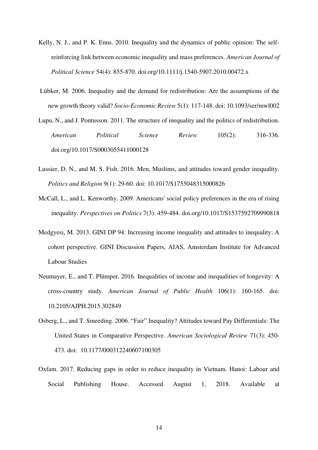- Kelly, N. J., and P. K. Enns. 2010. Inequality and the dynamics of public opinion: The selfreinforcing link between economic inequality and mass preferences. *American Journal of Political Science* 54(4): 855-870. doi.org/10.1111/j.1540-5907.2010.00472.x
- Lübker, M. 2006. Inequality and the demand for redistribution: Are the assumptions of the new growth theory valid? *Socio-Economic Review* 5(1): 117-148. doi: 10.1093/ser/mwl002
- Lupu, N., and J. Pontusson. 2011. The structure of inequality and the politics of redistribution. *American Political Science Review* 105(2): 316-336. doi.org/10.1017/S0003055411000128
- Lussier, D. N., and M. S. Fish. 2016. Men, Muslims, and attitudes toward gender inequality. *Politics and Religion* 9(1): 29-60. doi: 10.1017/S1755048315000826
- McCall, L., and L. Kenworthy. 2009. Americans' social policy preferences in the era of rising inequality. *Perspectives on Politics* 7(3): 459-484. doi.org/10.1017/S1537592709990818
- Medgyesi, M. 2013. GINI DP 94: Increasing income inequality and attitudes to inequality: A cohort perspective. GINI Discussion Papers, AIAS, Amsterdam Institute for Advanced Labour Studies
- Neumayer, E., and T. Plümper. 2016. Inequalities of income and inequalities of longevity: A cross-country study. *American Journal of Public Health* 106(1): 160-165. doi: 10.2105/AJPH.2015.302849
- Osberg, L., and T. Smeeding. 2006. "Fair" Inequality? Attitudes toward Pay Differentials: The United States in Comparative Perspective. *American Sociological Review* 71(3): 450- 473. doi: 10.1177/000312240607100305
- Oxfam. 2017. Reducing gaps in order to reduce inequality in Vietnam. Hanoi: Labour and Social Publishing House. Accessed August 1, 2018. Available at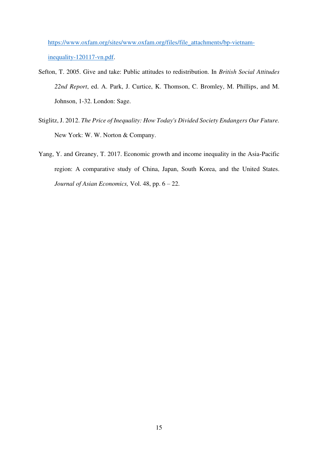[https://www.oxfam.org/sites/www.oxfam.org/files/file\\_attachments/bp-vietnam](https://www.oxfam.org/sites/www.oxfam.org/files/file_attachments/bp-vietnam-inequality-120117-vn.pdf)[inequality-120117-vn.pdf.](https://www.oxfam.org/sites/www.oxfam.org/files/file_attachments/bp-vietnam-inequality-120117-vn.pdf)

- Sefton, T. 2005. Give and take: Public attitudes to redistribution. In *British Social Attitudes 22nd Report*, ed. A. Park, J. Curtice, K. Thomson, C. Bromley, M. Phillips, and M. Johnson, 1-32. London: Sage.
- Stiglitz, J. 2012. *The Price of Inequality: How Today's Divided Society Endangers Our Future.*  New York: [W. W. Norton & Company.](https://www.google.com.vn/search?rlz=1C1CHBF_enVN778VN778&q=W.+W.+Norton+%26+Company&stick=H4sIAAAAAAAAAOPgE-LSz9U3yIrPqjDPU-IEsY3ystONtdQyyq30k_NzclKTSzLz8_TLizJLSlLz4svzi7KLrQpKk3IyizNSiwBW1eieQQAAAA&sa=X&ved=2ahUKEwjzwvHbiI3dAhVOMd4KHQE0Az4QmxMoATAZegQIBhAv)
- Yang, Y. and Greaney, T. 2017. Economic growth and income inequality in the Asia-Pacific region: A comparative study of China, Japan, South Korea, and the United States. *Journal of Asian Economics,* Vol. 48, pp. 6 – 22.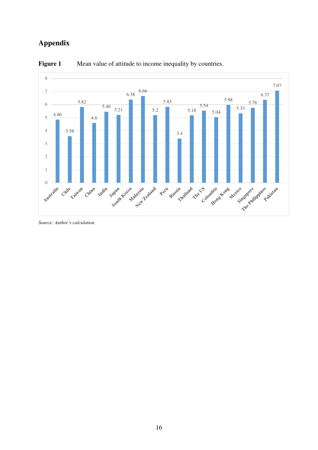## **Appendix**



**Figure 1** Mean value of attitude to income inequality by countries.

*Source: Author's calculation.*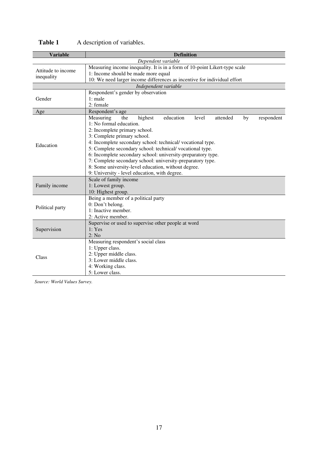| <b>Variable</b>                  | <b>Definition</b>                                                                                                                                                                                                                                                                                                                                                                                                                                                                                                                                                      |  |  |  |  |  |  |  |  |  |  |  |
|----------------------------------|------------------------------------------------------------------------------------------------------------------------------------------------------------------------------------------------------------------------------------------------------------------------------------------------------------------------------------------------------------------------------------------------------------------------------------------------------------------------------------------------------------------------------------------------------------------------|--|--|--|--|--|--|--|--|--|--|--|
|                                  | Dependent variable                                                                                                                                                                                                                                                                                                                                                                                                                                                                                                                                                     |  |  |  |  |  |  |  |  |  |  |  |
| Attitude to income<br>inequality | Measuring income inequality. It is in a form of 10-point Likert-type scale<br>1: Income should be made more equal<br>10: We need larger income differences as incentive for individual effort                                                                                                                                                                                                                                                                                                                                                                          |  |  |  |  |  |  |  |  |  |  |  |
|                                  | Independent variable                                                                                                                                                                                                                                                                                                                                                                                                                                                                                                                                                   |  |  |  |  |  |  |  |  |  |  |  |
| Gender                           | Respondent's gender by observation<br>$1:$ male<br>2: female                                                                                                                                                                                                                                                                                                                                                                                                                                                                                                           |  |  |  |  |  |  |  |  |  |  |  |
| Age                              | Respondent's age                                                                                                                                                                                                                                                                                                                                                                                                                                                                                                                                                       |  |  |  |  |  |  |  |  |  |  |  |
| Education                        | Measuring<br>highest<br>education<br>level<br>attended<br>respondent<br>the<br>by<br>1: No formal education.<br>2: Incomplete primary school.<br>3: Complete primary school.<br>4: Incomplete secondary school: technical/vocational type.<br>5: Complete secondary school: technical/vocational type.<br>6: Incomplete secondary school: university-preparatory type.<br>7: Complete secondary school: university-preparatory type.<br>8: Some university-level education, without degree.<br>9: University - level education, with degree.<br>Scale of family income |  |  |  |  |  |  |  |  |  |  |  |
| Family income                    | 1: Lowest group.<br>10: Highest group.                                                                                                                                                                                                                                                                                                                                                                                                                                                                                                                                 |  |  |  |  |  |  |  |  |  |  |  |
| Political party                  | Being a member of a political party<br>0: Don't belong.<br>1: Inactive member.<br>2: Active member.                                                                                                                                                                                                                                                                                                                                                                                                                                                                    |  |  |  |  |  |  |  |  |  |  |  |
| Supervision                      | Supervise or used to supervise other people at word<br>1: Yes<br>2: No                                                                                                                                                                                                                                                                                                                                                                                                                                                                                                 |  |  |  |  |  |  |  |  |  |  |  |
| Class                            | Measuring respondent's social class<br>1: Upper class.<br>2: Upper middle class.<br>3: Lower middle class.<br>4: Working class.<br>5: Lower class.                                                                                                                                                                                                                                                                                                                                                                                                                     |  |  |  |  |  |  |  |  |  |  |  |

## Table 1 A description of variables.

*Source: World Values Survey.*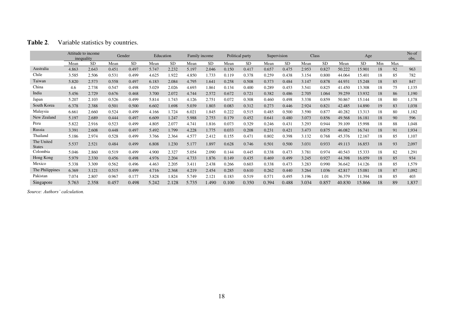|                             | Attitude to income<br>inequality |           |       | Gender    | Education |           |       | Family income |       | Political party | Supervision |           | Class |           |        | Age       |     |     | No of<br>obs. |
|-----------------------------|----------------------------------|-----------|-------|-----------|-----------|-----------|-------|---------------|-------|-----------------|-------------|-----------|-------|-----------|--------|-----------|-----|-----|---------------|
|                             | Mean                             | <b>SD</b> | Mean  | <b>SD</b> | Mean      | <b>SD</b> | Mean  | <b>SD</b>     | Mean  | <b>SD</b>       | Mean        | <b>SD</b> | Mean  | <b>SD</b> | Mean   | <b>SD</b> | Min | Max |               |
| Australia                   | 4.863                            | 2.643     | 0.451 | 0.497     | 5.747     | 2.232     | 5.197 | 2.046         | 0.150 | 0.417           | 0.657       | 0.475     | 2.953 | 0.827     | 50.222 | 15.901    | 18  | 92  | 963           |
| Chile                       | 3.585                            | 2.506     | 0.531 | 0.499     | 4.625     | 1.922     | 4.850 | 1.733         | 0.119 | 0.378           | 0.259       | 0.438     | 3.154 | 0.800     | 44.064 | 15.401    | 18  | 85  | 782           |
| Taiwan                      | 5.820                            | 2.573     | 0.558 | 0.497     | 6.183     | 2.084     | 4.795 | 1.641         | 0.258 | 0.508           | 0.373       | 0.484     | 3.147 | 0.878     | 44.931 | 15.248    | 18  | 85  | 847           |
| China                       | 4.6                              | 2.738     | 0.547 | 0.498     | 5.029     | 2.026     | 4.693 | 1.861         | 0.134 | 0.400           | 0.289       | 0.453     | 3.541 | 0.825     | 41.450 | 13.308    | 18  | 75  | 1,135         |
| India                       | 5.456                            | 2.729     | 0.676 | 0.468     | 3.700     | 2.072     | 4.744 | 2.572         | 0.672 | 0.721           | 0.382       | 0.486     | 2.705 | 1.064     | 39.259 | 13.932    | 18  | 86  | 1,190         |
| Japan                       | 5.207                            | 2.103     | 0.526 | 0.499     | 5.814     | 1.743     | 4.126 | 2.751         | 0.072 | 0.308           | 0.460       | 0.498     | 3.338 | 0.859     | 50.867 | 15.144    | 18  | 80  | 1,178         |
| South Korea                 | 6.378                            | 2.388     | 0.501 | 0.500     | 6.602     | 1.698     | 5.039 | 1.803         | 0.083 | 0.312           | 0.273       | 0.446     | 2.924 | 0.821     | 42.485 | 14.890    | 19  | 83  | 1,038         |
| Malaysia                    | 6.661                            | 2.660     | 0.524 | 0.499     | 4.166     | 1.724     | 6.021 | 1.845         | 0.222 | 0.515           | 0.485       | 0.500     | 3.590 | 0.877     | 40.282 | 13.313    | 18  | 80  | 1,182         |
| New Zealand                 | 5.197                            | 2.689     | 0.444 | 0.497     | 6.609     | 1.247     | 5.988 | 2.753         | 0.179 | 0.452           | 0.641       | 0.480     | 3.073 | 0.856     | 49.568 | 16.181    | 18  | 90  | 596           |
| Peru                        | 5.822                            | 2.916     | 0.523 | 0.499     | 4.805     | 2.077     | 4.741 | 1.816         | 0.073 | 0.329           | 0.246       | 0.431     | 3.293 | 0.944     | 39.109 | 15.998    | 18  | 88  | 1,048         |
| Russia                      | 3.391                            | 2.608     | 0.448 | 0.497     | 5.492     | 1.799     | 4.228 | 1.775         | 0.033 | 0.208           | 0.231       | 0.421     | 3.473 | 0.875     | 46.082 | 16.741    | 18  | 91  | 1,934         |
| Thailand                    | 5.186                            | 2.974     | 0.528 | 0.499     | 3.766     | 2.364     | 4.577 | 2.412         | 0.155 | 0.471           | 0.802       | 0.398     | 3.132 | 0.768     | 45.376 | 12.167    | 18  | 85  | 1,107         |
| The United<br><b>States</b> | 5.537                            | 2.521     | 0.484 | 0.499     | 6.808     | 1.230     | 5.177 | 1.897         | 0.628 | 0.746           | 0.501       | 0.500     | 3.031 | 0.933     | 49.113 | 16.853    | 18  | 93  | 2,097         |
| Colombia                    | 5.046                            | 2.860     | 0.519 | 0.499     | 4.900     | 2.327     | 5.054 | 2.090         | 0.144 | 0.445           | 0.338       | 0.473     | 3.781 | 0.974     | 40.543 | 15.333    | 18  | 82  | 1,291         |
| Hong Kong                   | 5.979                            | 2.330     | 0.456 | 0.498     | 4.976     | 2.204     | 4.733 | 1.876         | 0.149 | 0.435           | 0.469       | 0.499     | 3.245 | 0.927     | 44.398 | 16.059    | 18  | 85  | 934           |
| Mexico                      | 5.338                            | 3.309     | 0.562 | 0.496     | 4.463     | 2.205     | 3.411 | 2.438         | 0.266 | 0.603           | 0.338       | 0.473     | 3.283 | 0.990     | 36.642 | 14.126    | 18  | 85  | 1,579         |
| The Philippines             | 6.369                            | 3.121     | 0.515 | 0.499     | 4.716     | 2.368     | 4.219 | 2.454         | 0.285 | 0.610           | 0.262       | 0.440     | 3.264 | 1.036     | 42.817 | 15.081    | 18  | 87  | 1,092         |
| Pakistan                    | 7.074                            | 2.807     | 0.967 | 0.177     | 3.828     | 1.824     | 5.749 | 2.121         | 0.183 | 0.519           | 0.571       | 0.495     | 3.196 | 1.01      | 36.379 | 11.394    | 18  | 85  | 403           |
| Singapore                   | 5.763                            | 2.358     | 0.457 | 0.498     | 5.242     | 2.128     | 5.735 | 1.490         | 0.100 | 0.350           | 0.394       | 0.488     | 3.034 | 0.857     | 40.830 | 15.866    | 18  | 89  | 1,837         |

*Source: Authors' calculation.*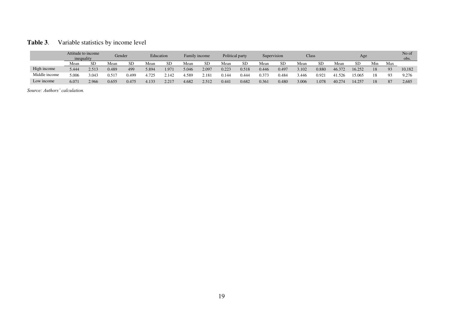### **Table 3**. Variable statistics by income level

|               | Attitude to income<br>inequality |           |                |       |       | Gender | Education |       | Family income |           | Political party |           | Supervision |           |        | <b>Class</b> |     | Age |        |  | No of<br>obs. |
|---------------|----------------------------------|-----------|----------------|-------|-------|--------|-----------|-------|---------------|-----------|-----------------|-----------|-------------|-----------|--------|--------------|-----|-----|--------|--|---------------|
|               | Mean                             | <b>SD</b> | Mean           | SD.   | Mean  | SD     | Mea       | SD    | Mean          | <b>SD</b> | Mean            | <b>SD</b> | Mean        | <b>SD</b> | Mean   | SD           | Min | Max |        |  |               |
| High income   | 5.444                            | 2.513     | 0.489          | 499   | 5.894 | 1.971  | 5.046     | 2.097 | 0.223         | 0.518     | 0.446           | 0.497     | 3.102       | 0.880     | 46.372 | 16.252       | 18  | 93  | 10,182 |  |               |
| Middle income | 5.006                            | 3.043     | $0.51^{\circ}$ | 0.499 | 4.725 | . 142  | 4.589     | 2.181 | 0.144         | 0.444     | 0.373           | 0.484     | 3.446       | 0.921     | 41.526 | 5.065        | 18  |     | 9,276  |  |               |
| Low income    | 6.071                            | 2.966     | 0.655          | 0.475 | 4.133 | 2.217  | 4.682     | 2.512 | 0.441         | 0.682     | 0.361           | 0.480     | 3.006       | 1.078     | 40.274 | 14.257       | 18  | 87  | 2,685  |  |               |

*Source: Authors' calculation.*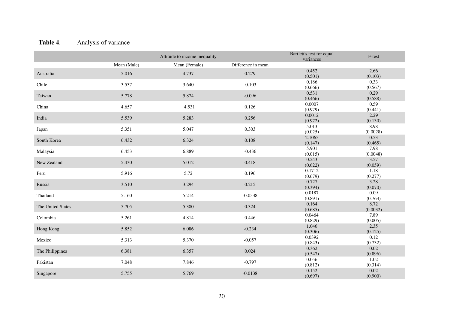## Table 4. Analysis of variance

|                   |             | Attitude to income inequality |                    | Bartlett's test for equal<br>variances | F-test          |
|-------------------|-------------|-------------------------------|--------------------|----------------------------------------|-----------------|
|                   | Mean (Male) | Mean (Female)                 | Difference in mean |                                        |                 |
| Australia         | 5.016       | 4.737                         | 0.279              | 0.452                                  | 2.66            |
|                   |             |                               |                    | (0.501)                                | (0.103)         |
| Chile             | 3.537       | 3.640                         | $-0.103$           | 0.186                                  | 0.33            |
|                   |             |                               |                    | (0.666)                                | (0.567)         |
| Taiwan            | 5.778       | 5.874                         | $-0.096$           | 0.531                                  | 0.29            |
|                   |             |                               |                    | (0.466)                                | (0.588)         |
| China             | 4.657       | 4.531<br>0.126                |                    | 0.0007<br>(0.979)                      | 0.59            |
|                   |             |                               |                    | 0.0012                                 | (0.441)<br>2.29 |
| India             | 5.539       | 5.283                         | 0.256              | (0.972)                                | (0.130)         |
|                   |             |                               |                    | 5.013                                  | 8.98            |
| Japan             | 5.351       | 5.047                         | 0.303              | (0.025)                                | (0.0028)        |
|                   |             |                               |                    | 2.1065                                 | 0.53            |
| South Korea       | 6.432       | 6.324                         | 0.108              | (0.147)                                | (0.465)         |
|                   |             |                               |                    | 5.901                                  | 7.98            |
| Malaysia          | 6.453       | 6.889                         | $-0.436$           | (0.015)                                | (0.0048)        |
|                   |             |                               |                    | 0.243                                  | 3.57            |
| New Zealand       | 5.430       | 5.012                         | 0.418              | (0.622)                                | (0.059)         |
| Peru              | 5.916       | 5.72                          | 0.196              | 0.1712                                 | 1.18            |
|                   |             |                               |                    | (0.679)                                | (0.277)         |
| Russia            | 3.510       | 3.294                         | 0.215              | 0.727                                  | 3.28            |
|                   |             |                               |                    | (0.394)                                | (0.070)         |
| Thailand          | 5.160       | 5.214                         | $-0.0538$          | 0.0187                                 | 0.09            |
|                   |             |                               |                    | (0.891)                                | (0.763)         |
| The United States | 5.705       | 5.380                         | 0.324              | 0.164                                  | 8.72            |
|                   |             |                               |                    | (0.685)                                | (0.0032)        |
| Colombia          | 5.261       | 4.814                         | 0.446              | 0.0464                                 | 7.89            |
|                   |             |                               |                    | (0.829)<br>1.046                       | (0.005)<br>2.35 |
| Hong Kong         | 5.852       | 6.086                         | $-0.234$           | (0.306)                                | (0.125)         |
|                   |             |                               |                    | 0.0392                                 | 0.12            |
| Mexico            | 5.313       | 5.370                         | $-0.057$           | (0.843)                                | (0.732)         |
|                   |             |                               |                    | 0.362                                  | 0.02            |
| The Philippines   | 6.381       | 6.357                         | 0.024              | (0.547)                                | (0.896)         |
|                   |             |                               |                    | 0.056                                  | 1.02            |
| Pakistan          | 7.048       | 7.846                         | $-0.797$           | (0.812)                                | (0.314)         |
|                   |             |                               |                    | 0.152                                  | 0.02            |
| Singapore         | 5.755       | 5.769                         | $-0.0138$          | (0.697)                                | (0.900)         |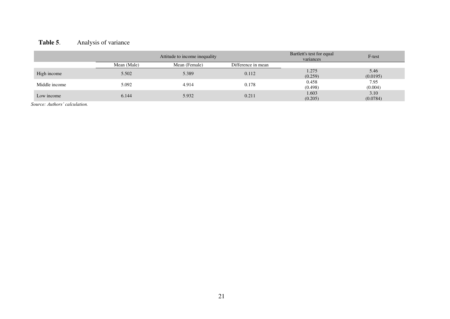## Table 5. Analysis of variance

|               |             | Attitude to income inequality | Bartlett's test for equal<br>variances | F-test           |                  |
|---------------|-------------|-------------------------------|----------------------------------------|------------------|------------------|
|               | Mean (Male) | Mean (Female)                 | Difference in mean                     |                  |                  |
| High income   | 5.502       | 5.389                         | 0.112                                  | 1.275<br>(0.259) | 5.46<br>(0.0195) |
| Middle income | 5.092       | 4.914                         | 0.178                                  | 0.458<br>(0.498) | 7.95<br>(0.004)  |
| Low income    | 6.144       | 5.932                         | 0.211                                  | 1.603<br>(0.205) | 3.10<br>(0.0784) |

*Source: Authors' calculation.*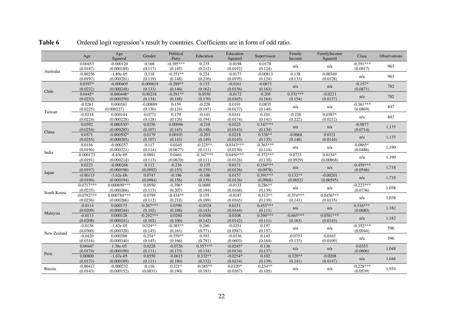|             | Age                    | Age<br>Squared            | Gender             | Political<br>Party     | Education           | Education<br>Squared  | Supervision            | Family<br>Income | FamilyIncome<br>Squared | Class                   | Observations |
|-------------|------------------------|---------------------------|--------------------|------------------------|---------------------|-----------------------|------------------------|------------------|-------------------------|-------------------------|--------------|
|             | 0.00453<br>(0.0187)    | $-0.000120$<br>(0.000189) | 0.168<br>(0.117)   | $-0.395***$<br>(0.145) | 0.235<br>(0.212)    | $-0.0198$<br>(0.0192) | 0.0178<br>(0.124)      | n/a              | n/a                     | $-0.391***$<br>(0.0817) | 963          |
| Australia   | $-0.00256$             | $-1.89e-05$               | 0.118              | $-0.351**$             | 0.224               | $-0.0177$             | $-0.00813$             | 0.138            | 0.00349                 |                         |              |
|             | (0.0197)               | (0.000201)                | (0.119)            | (0.148)                | (0.216)             | (0.0195)              | (0.124)                | (0.133)          | (0.0128)                | n/a                     | 963          |
|             | 0.0397*                | $-0.000405$               | $-0.000619$        | $-0.289**$             | 0.133               | $-0.0161$             | $-0.0671$              |                  |                         | $-0.157*$               |              |
|             | (0.0232)               | (0.000248)                | (0.133)            | (0.146)                | (0.162)             | (0.0156)              | (0.163)                | n/a              | n/a                     | (0.0871)                | 782          |
| Chile       | $0.0445*$              | $-0.000448*$              | 0.00218            | $-0.291**$             | 0.0550              | $-0.0172$             | $-0.205$               | $0.531***$       | $-0.0221$               |                         |              |
|             | (0.0232)               | (0.000250)                | (0.134)            | (0.148)                | (0.170)             | (0.0165)              | (0.164)                | (0.154)          | (0.0137)                | n/a                     | 782          |
|             | $-0.0261$              | 0.000161                  | $-0.00889$         | 0.159                  | $-0.228$            | 0.0191                | 0.0835                 |                  | n/a                     | $-0.361***$             | 847          |
| Taiwan      | (0.0225)               | (0.000227)                | (0.130)            | (0.124)                | (0.197)             | (0.0177)              | (0.140)                | n/a              |                         | (0.0869)                |              |
|             | $-0.0218$              | 0.000144                  | $-0.0771$          | 0.179                  | $-0.141$            | 0.0141                | 0.101                  | $-0.220$         | 0.0387*                 | n/a                     | 847          |
|             | (0.0224)               | (0.000228)                | (0.128)            | (0.126)                | (0.194)             | (0.0174)              | (0.141)                | (0.222)          | (0.0212)                |                         |              |
|             | 0.0392                 | $-0.000530*$              | 0.0256             | 0.00946                | $-0.210$            | 0.0225                | $0.347***$             | n/a              | n/a                     | $-0.0877$               | 1,135        |
| China       | (0.0254)               | (0.000285)                | (0.107)            | (0.145)                | (0.148)             | (0.0143)              | (0.134)                |                  |                         | (0.0714)                |              |
|             | 0.0371                 | $-0.000502*$              | 0.0179             | 0.00101                | $-0.203$            | 0.0218                | $0.338**$              | $-0.0668$        | 0.0121                  | n/a                     | 1,135        |
|             | (0.0255)               | (0.000285)                | (0.107)            | (0.145)                | (0.149)             | (0.0143)              | (0.135)                | (0.140)          | (0.0144)                |                         |              |
|             | 0.0156                 | $-0.000257$               | 0.117              | 0.0345                 | $-0.225**$          | $0.0343***$           | $-0.363***$            | n/a              | n/a                     | $0.0865*$               | 1,190        |
| India       | (0.0196)               | (0.000221)                | (0.114)            | (0.0677)               | (0.111)             | (0.0130)              | (0.114)                |                  |                         | (0.0486)                |              |
|             | 0.000173               | $-8.63e-05$               | 0.0891             | 0.0461                 | $-0.347***$         | $0.0450***$           | $-0.372***$            | 0.0723           | $0.0154*$               | n/a                     | 1,190        |
|             | (0.0191)               | (0.000214)                | (0.113)            | (0.0670)               | (0.111)             | (0.0126)              | (0.110)                | (0.0929)         | (0.00868)               |                         |              |
|             | 0.0223                 | $-0.000266$               | 0.112              | $-0.216$               | $-0.135$            | 0.0171                | $0.354***$             | n/a              | n/a                     | $-0.459***$             | 1,718        |
| Japan       | (0.0197)<br>$-0.00115$ | (0.000196)<br>$-3.62e-06$ | (0.0992)<br>0.0747 | (0.153)<br>$-0.186$    | (0.139)<br>$-0.106$ | (0.0126)<br>0.0157    | (0.0978)<br>$0.391***$ | $0.132**$        | $-0.00201$              | (0.0546)                |              |
|             | (0.0194)               | (0.000194)                | (0.0984)           |                        |                     | (0.0126)              | (0.0968)               | (0.0652)         |                         | n/a                     | 1,718        |
|             | $-0.0717***$           | 0.000699***               | 0.0950             | (0.156)<br>$-0.396*$   | (0.139)<br>0.0888   | $-0.0133$             | $0.286**$              |                  | (0.00595)               | $-0.223***$             |              |
|             | (0.0235)               | (0.000266)                | (0.113)            | (0.207)                | (0.194)             | (0.0168)              | (0.139)                | n/a              | n/a                     | (0.0736)                | 1,038        |
| South Korea | $-0.0792***$           | $0.000784***$             | 0.0799             | $-0.434**$             | 0.155               | $-0.0187$             | $0.312**$              | $-0.374***$      | $0.0456***$             |                         |              |
|             | (0.0236)               | (0.000266)                | (0.112)            | (0.218)                | (0.189)             | (0.0165)              | (0.139)                | (0.141)          | (0.0135)                | n/a                     | 1,038        |
|             | $-0.0114$              | 0.000175                  | $-0.267***$        | 0.0390                 | $-0.0528$           | 0.0151                | $0.453***$             |                  |                         | $0.316***$              |              |
|             | (0.0209)               | (0.000244)                | (0.102)            | (0.108)                | (0.143)             | (0.0144)              | (0.111)                | n/a              | n/a                     | (0.0680)                | 1,182        |
| Malaysia    | $-0.0113$              | 0.000128                  | $-0.292***$        | 0.0260                 | $-0.0306$           | 0.0108                | $0.394***$             | $-0.665***$      | $0.0581***$             |                         |              |
|             | (0.0208)               | (0.000241)                | (0.102)            | (0.106)                | (0.142)             | (0.0142)              | (0.111)                | (0.163)          | (0.0143)                | n/a                     | 1,182        |
|             | $-0.0156$              | $-1.82e-05$               | $0.324**$          | $-0.385**$             | 0.280               | $-0.0251$             | 0.197                  |                  |                         | $-0.352***$             |              |
|             | (0.0300)               | (0.000320)                | (0.145)            | (0.161)                | (0.771)             | (0.0587)              | (0.157)                | n/a              | n/a                     | (0.0944)                | 596          |
| New Zealand | $-0.0420$              | 0.000288                  | $0.254*$           | $-0.359**$             | 0.393               | $-0.0336$             | 0.145                  | $-0.0753$        | 0.0163                  |                         |              |
|             | (0.0316)               | (0.000340)                | (0.145)            | (0.166)                | (0.791)             | (0.0603)              | (0.164)                | (0.133)          | (0.0109)                | n/a                     | 596          |
|             | 0.00447                | 1.38e-05                  | 0.0228             | $-0.0726$              | $0.357***$          | $-0.0245*$            | 0.130                  |                  |                         | 0.0353                  |              |
|             | (0.0174)               | (0.000190)                | (0.111)            | (0.173)                | (0.134)             | (0.0134)              | (0.137)                | n/a              | n/a                     | (0.0606)                | 1,048        |
| Peru        | 0.00800                | $-1.67e-05$               | 0.0550             | $-0.0615$              | $0.332**$           | $-0.0254*$            | 0.102                  | $0.329**$        | $-0.0208$               |                         |              |
|             | (0.0173)               | (0.000189)                | (0.111)            | (0.180)                | (0.132)             | (0.0134)              | (0.139)                | (0.141)          | (0.0147)                | n/a                     | 1,048        |
| Russia      | $-0.00417$             | $-0.000232$               | 0.116              | $0.321*$               | $-0.385**$          | $0.0320*$             | $0.234**$              |                  |                         | $-0.228***$             | 1,934        |
|             | (0.0143)               | (0.000152)                | (0.0831)           | (0.190)                | (0.193)             | (0.0167)              | (0.105)                | n/a              |                         | n/a<br>(0.0539)         |              |

Table 6 Ordered logit regression's result by countries. Coefficients are in form of odd ratio.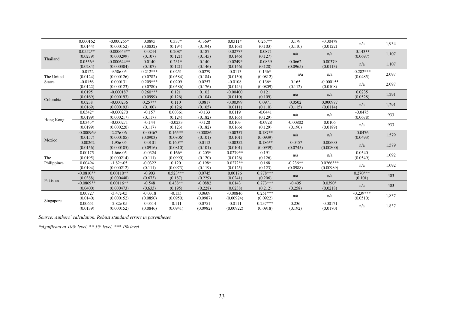|               | 0.000162    | $-0.000265*$  | 0.0895     | $0.337*$   | $-0.369*$ | $0.0311*$  | $0.257**$  | 0.179      | $-0.00478$  | n/a         | 1,934 |
|---------------|-------------|---------------|------------|------------|-----------|------------|------------|------------|-------------|-------------|-------|
|               | (0.0144)    | (0.000152)    | (0.0832)   | (0.194)    | (0.194)   | (0.0168)   | (0.103)    | (0.110)    | (0.0122)    |             |       |
|               | $0.0552**$  | $-0.000643**$ | $-0.0244$  | $0.208*$   | 0.187     | $-0.0277*$ | $-0.0871$  | n/a        |             | $-0.143**$  | 1,107 |
| Thailand      | (0.0279)    | (0.000299)    | (0.107)    | (0.121)    | (0.145)   | (0.0146)   | (0.127)    |            | n/a         | (0.0697)    |       |
|               | $0.0556*$   | $-0.000644**$ | 0.0140     | $0.231*$   | 0.140     | $-0.0249*$ | $-0.0839$  | 0.0662     | 0.00379     |             |       |
|               | (0.0284)    | (0.000304)    | (0.107)    | (0.121)    | (0.146)   | (0.0146)   | (0.128)    | (0.0965)   | (0.0113)    | n/a         | 1,107 |
|               | $-0.0122$   | 9.58e-05      | $0.212***$ | 0.0251     | 0.0279    | $-0.0113$  | $0.136*$   |            |             | $-0.282***$ |       |
| The United    | (0.0124)    | (0.000126)    | (0.0782)   | (0.0584)   | (0.184)   | (0.0150)   | (0.0812)   | n/a        | n/a         | (0.0485)    | 2,097 |
| <b>States</b> | $-0.0156$   | 0.000131      | $0.209***$ | 0.0209     | 0.0257    | $-0.0108$  | $0.136*$   | 0.165      | $-0.000155$ |             |       |
|               | (0.0122)    | (0.000123)    | (0.0780)   | (0.0586)   | (0.176)   | (0.0143)   | (0.0809)   | (0.112)    | (0.0108)    | n/a         | 2,097 |
|               | 0.0195      | $-0.000187$   | $0.260***$ | 0.121      | 0.102     | $-0.00400$ | 0.121      |            |             | 0.0235      |       |
|               | (0.0169)    | (0.000193)    | (0.0999)   | (0.126)    | (0.104)   | (0.0110)   | (0.109)    | n/a        | n/a         | (0.0528)    | 1,291 |
| Colombia      | 0.0238      | $-0.000236$   | $0.257**$  | 0.110      | 0.0817    | $-0.00399$ | 0.0971     | 0.0502     | 0.000977    |             |       |
|               | (0.0169)    | (0.000193)    | (0.100)    | (0.126)    | (0.105)   | (0.0111)   | (0.110)    | (0.115)    | (0.0114)    | n/a         | 1,291 |
|               | $0.0342*$   | $-0.000270$   | $-0.157$   | 0.00361    | $-0.133$  | 0.0119     | $-0.0441$  |            |             | $-0.0475$   |       |
|               | (0.0199)    | (0.000217)    | (0.117)    | (0.124)    | (0.182)   | (0.0165)   | (0.129)    | n/a        | n/a         | (0.0678)    | 933   |
| Hong Kong     | $0.0345*$   | $-0.000271$   | $-0.144$   | $-0.0233$  | $-0.128$  | 0.0103     | $-0.0928$  | $-0.00802$ | 0.0106      |             |       |
|               | (0.0199)    | (0.000220)    | (0.117)    | (0.123)    | (0.182)   | (0.0166)   | (0.129)    | (0.190)    | (0.0189)    | n/a         | 933   |
|               | $-0.000969$ | 2.27e-06      | $-0.00467$ | $0.165***$ | 0.00886   | $-0.00357$ | $-0.187**$ |            |             | $-0.0476$   |       |
|               | (0.0157)    | (0.000185)    | (0.0903)   | (0.0806)   | (0.101)   | (0.0101)   | (0.0939)   | n/a        | n/a         | (0.0493)    | 1,579 |
| Mexico        | $-0.00262$  | 1.95e-05      | $-0.0101$  | $0.160**$  | 0.0112    | $-0.00352$ | $-0.186**$ | $-0.0457$  | 0.00600     |             |       |
|               | (0.0156)    | (0.000185)    | (0.0916)   | (0.0810)   | (0.101)   | (0.0101)   | (0.0939)   | (0.0745)   | (0.00800)   | n/a         | 1,579 |
|               | 0.00175     | 1.66e-05      | $-0.0324$  | $0.166*$   | $-0.205*$ | $0.0279**$ | 0.191      |            |             | 0.0540      |       |
| The           | (0.0195)    | (0.000214)    | (0.111)    | (0.0990)   | (0.120)   | (0.0126)   | (0.126)    | n/a        | n/a         | (0.0549)    | 1,092 |
| Philippines   | 0.00494     | $-1.82e-05$   | $-0.0322$  | 0.120      | $-0.198*$ | $0.0272**$ | 0.168      | $-0.236**$ | $0.0266***$ |             |       |
|               | (0.0194)    | (0.000212)    | (0.111)    | (0.0973)   | (0.119)   | (0.0125)   | (0.123)    | (0.0988)   | (0.00989)   | n/a         | 1,092 |
|               | $-0.0810**$ | $0.00110**$   | $-0.903$   | $0.523***$ | 0.0745    | 0.00176    | $0.778***$ |            |             | $0.270***$  |       |
|               | (0.0388)    | (0.000448)    | (0.673)    | (0.187)    | (0.229)   | (0.0241)   | (0.206)    | n/a        | n/a         | (0.101)     | 403   |
| Pakistan      | $-0.0869**$ | $0.00116**$   | $-0.548$   | $0.438**$  | $-0.0882$ | 0.0143     | $0.773***$ | $-0.405$   | $0.0390*$   |             |       |
|               | (0.0400)    | (0.000473)    | (0.633)    | (0.195)    | (0.228)   | (0.0238)   | (0.212)    | (0.258)    | (0.0218)    | n/a         | 403   |
|               | 0.00727     | $-3.47e-05$   | $-0.0318$  | $-0.135$   | 0.0609    | $-0.00846$ | $0.251***$ |            |             | $-0.239***$ |       |
|               | (0.0140)    | (0.000152)    | (0.0850)   | (0.0950)   | (0.0987)  | (0.00924)  | (0.0922)   | n/a        | n/a         | (0.0510)    | 1,837 |
| Singapore     | 0.00651     | $-2.82e-05$   | $-0.0514$  | $-0.111$   | 0.0751    | $-0.0111$  | $0.237***$ | 0.236      | $-0.00171$  |             |       |
|               | (0.0139)    | (0.000152)    | (0.0846)   | (0.0941)   | (0.0982)  | (0.00922)  | (0.0918)   | (0.192)    | (0.0170)    | n/a         | 1,837 |

*Source: Authors' calculation. Robust standard errors in parentheses* 

*\*significant at 10% level, \*\* 5% level, \*\*\* 1% level*